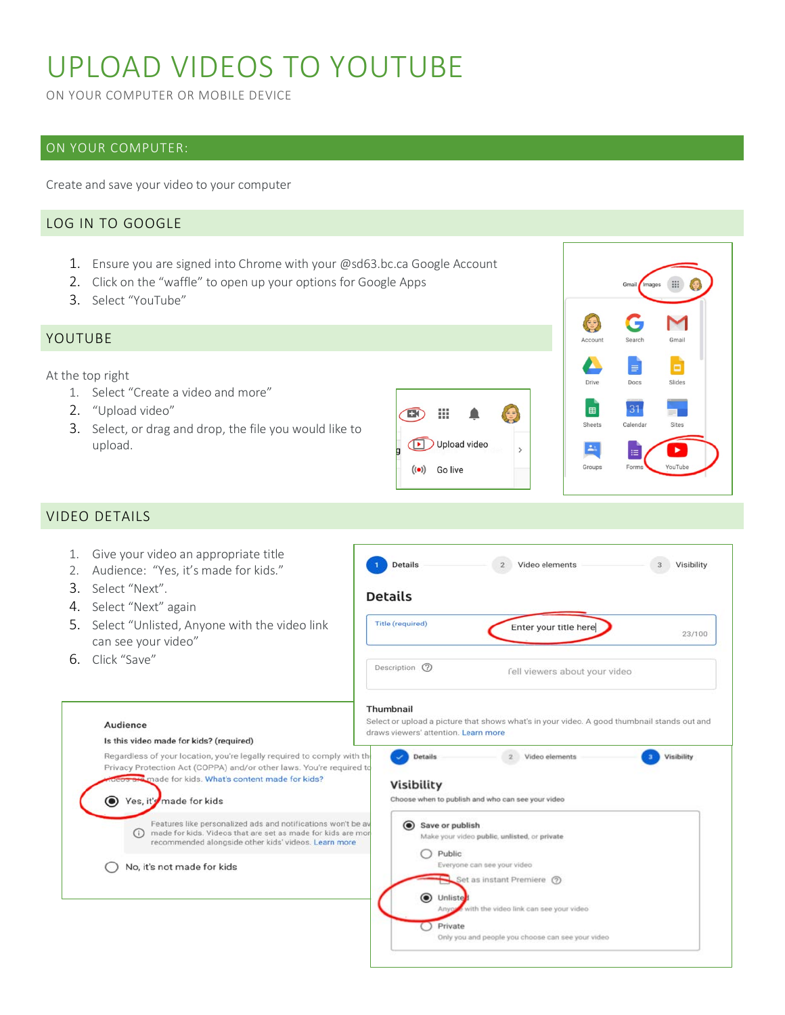# UPLOAD VIDEOS TO YOUTUBE

ON YOUR COMPUTER OR MOBILE DEVICE

# ON YOUR COMPUTER:

Create and save your video to your computer

# LOG IN TO GOOGLE

- 1. Ensure you are signed into Chrome with your @sd63.bc.ca Google Account
- 2. Click on the "waffle" to open up your options for Google Apps
- 3. Select "YouTube"

# YOUTUBE

At the top right

- 1. Select "Create a video and more"
- 2. "Upload video"
- 3. Select, or drag and drop, the file you would like to upload.





# VIDEO DETAILS

| Give your video an appropriate title<br>1.<br>Audience: "Yes, it's made for kids."<br>2.                                                                                                               | Video elements<br><b>Details</b><br>Visibility                                                                                                                                                     |
|--------------------------------------------------------------------------------------------------------------------------------------------------------------------------------------------------------|----------------------------------------------------------------------------------------------------------------------------------------------------------------------------------------------------|
| Select "Next".<br>3                                                                                                                                                                                    | <b>Details</b>                                                                                                                                                                                     |
| Select "Next" again<br>4.                                                                                                                                                                              | <b>Title (required)</b>                                                                                                                                                                            |
| Select "Unlisted, Anyone with the video link<br>.5.<br>can see your video"                                                                                                                             | Enter your title here<br>23/100                                                                                                                                                                    |
| Click "Save"<br>6.                                                                                                                                                                                     | Description (?)<br>fell viewers about your video                                                                                                                                                   |
| Audience<br>Is this video made for kids? (required)<br>Regardless of your location, you're legally required to comply with the<br>Privacy Protection Act (COPPA) and/or other laws. You're required to | Thumbnail<br>Select or upload a picture that shows what's in your video. A good thumbnail stands out and<br>draws viewers' attention. Learn more<br>Visibility<br><b>Details</b><br>Video elements |
| made for kids. What's content made for kids?                                                                                                                                                           | <b>Visibility</b>                                                                                                                                                                                  |
| Yes, it's made for kids                                                                                                                                                                                | Choose when to publish and who can see your video                                                                                                                                                  |
| Features like personalized ads and notifications won't be av<br>made for kids. Videos that are set as made for kids are more<br>(i)<br>recommended alongside other kids' videos. Learn more            | $\odot$<br>Save or publish<br>Make your video public, unlisted, or private                                                                                                                         |
| No, it's not made for kids                                                                                                                                                                             | Public<br>Everyone can see your video                                                                                                                                                              |
|                                                                                                                                                                                                        | Set as instant Premiere (?)<br>O Unliste<br>with the video link can see your video<br>Private<br>Only you and people you choose can see your video                                                 |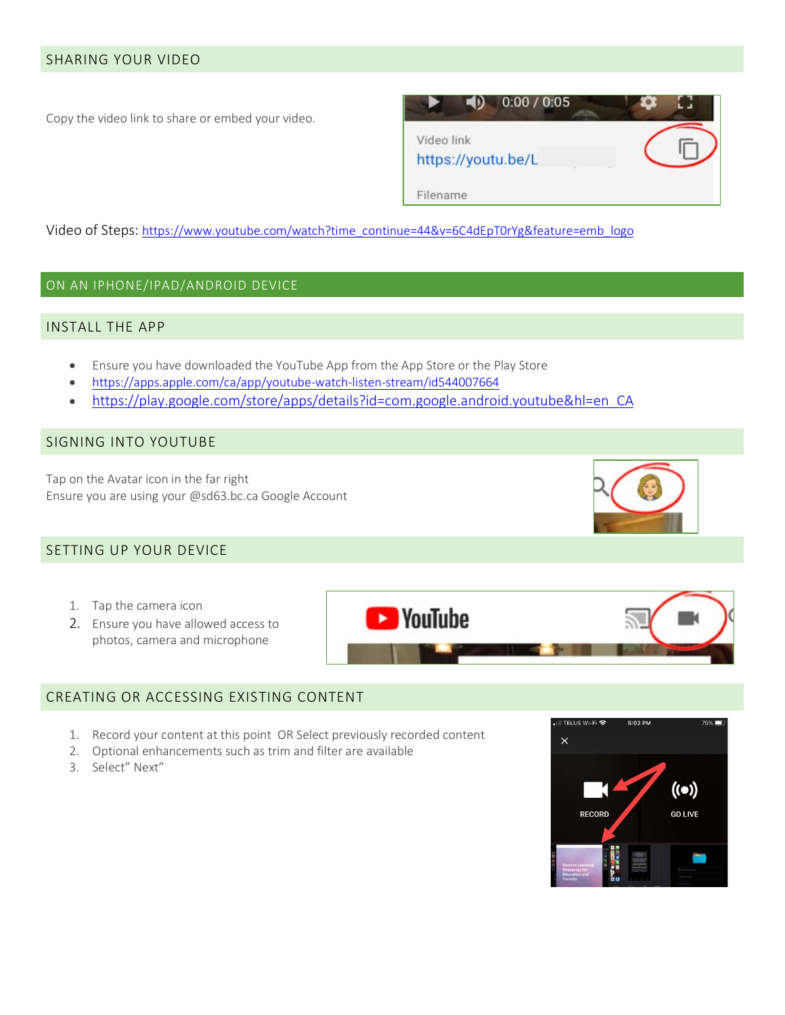## SHARING YOUR VIDEO

Copy the video link to share or embed your video.



Video of Steps: [https://www.youtube.com/watch?time\\_continue=44&v=6C4dEpT0rYg&feature=emb\\_logo](https://www.youtube.com/watch?time_continue=44&v=6C4dEpT0rYg&feature=emb_logo)

#### ON AN IPHONE/IPAD/ANDROID DEVICE

#### INSTALL THE APP

- Ensure you have downloaded the YouTube App from the App Store or the Play Store
- <https://apps.apple.com/ca/app/youtube-watch-listen-stream/id544007664>
- [https://play.google.com/store/apps/details?id=com.google.android.youtube&hl=en\\_CA](https://play.google.com/store/apps/details?id=com.google.android.youtube&hl=en_CA)

#### SIGNING INTO YOUTUBE

Tap on the Avatar icon in the far right Ensure you are using your @sd63.bc.ca Google Account



- 1. Tap the camera icon
- 2. Ensure you have allowed access to photos, camera and microphone



#### CREATING OR ACCESSING EXISTING CONTENT

- 1. Record your content at this point OR Select previously recorded content
- 2. Optional enhancements such as trim and filter are available
- 3. Select" Next"